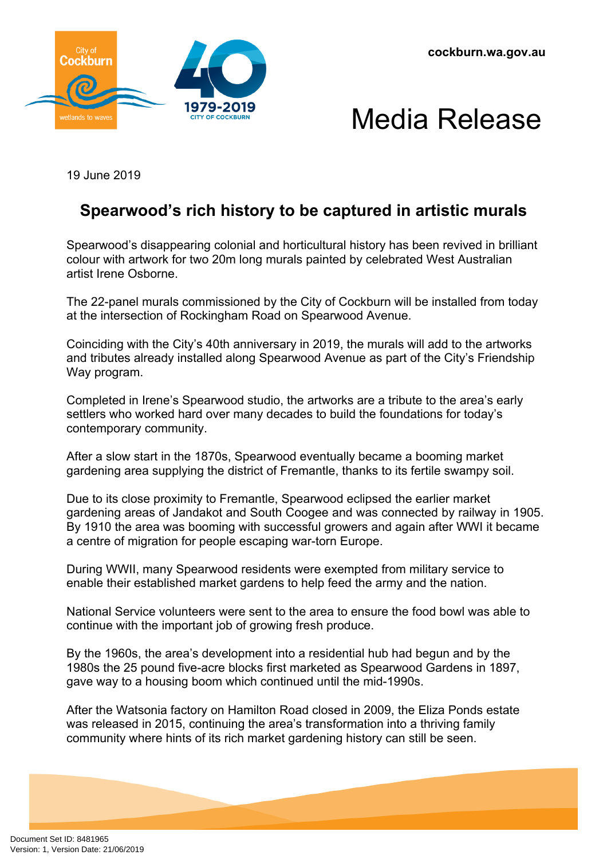



19 June 2019

## **Spearwood's rich history to be captured in artistic murals**

Spearwood's disappearing colonial and horticultural history has been revived in brilliant colour with artwork for two 20m long murals painted by celebrated West Australian artist Irene Osborne.

The 22-panel murals commissioned by the City of Cockburn will be installed from today at the intersection of Rockingham Road on Spearwood Avenue.

Coinciding with the City's 40th anniversary in 2019, the murals will add to the artworks and tributes already installed along Spearwood Avenue as part of the City's Friendship Way program.

Completed in Irene's Spearwood studio, the artworks are a tribute to the area's early settlers who worked hard over many decades to build the foundations for today's contemporary community.

After a slow start in the 1870s, Spearwood eventually became a booming market gardening area supplying the district of Fremantle, thanks to its fertile swampy soil.

Due to its close proximity to Fremantle, Spearwood eclipsed the earlier market gardening areas of Jandakot and South Coogee and was connected by railway in 1905. By 1910 the area was booming with successful growers and again after WWI it became a centre of migration for people escaping war-torn Europe.

During WWII, many Spearwood residents were exempted from military service to enable their established market gardens to help feed the army and the nation.

National Service volunteers were sent to the area to ensure the food bowl was able to continue with the important job of growing fresh produce.

By the 1960s, the area's development into a residential hub had begun and by the 1980s the 25 pound five-acre blocks first marketed as Spearwood Gardens in 1897, gave way to a housing boom which continued until the mid-1990s.

After the Watsonia factory on Hamilton Road closed in 2009, the Eliza Ponds estate was released in 2015, continuing the area's transformation into a thriving family community where hints of its rich market gardening history can still be seen.

Document Set ID: 8481965<br>Version: 1, Version Date: 21/06/2019